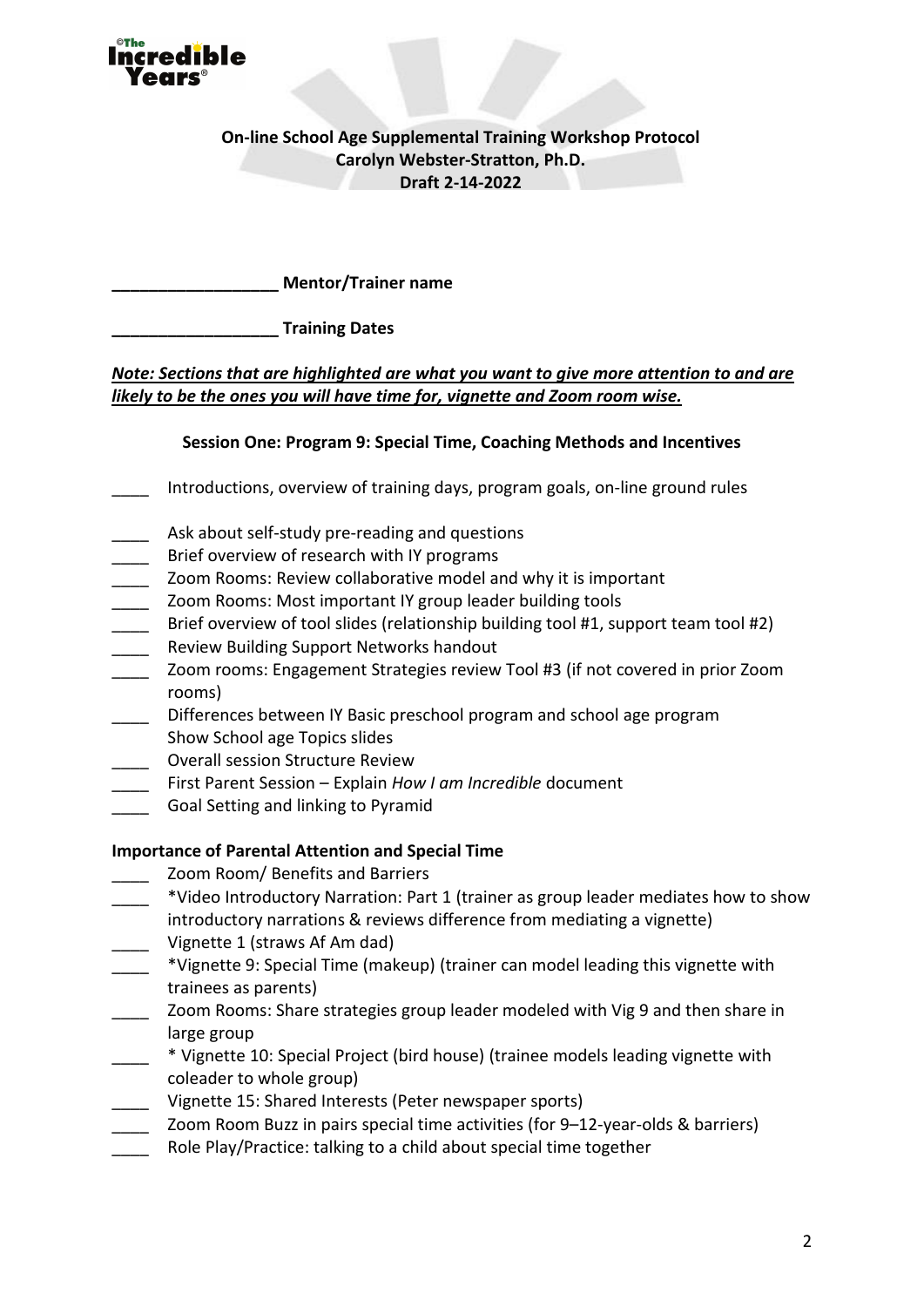

**On-line School Age Supplemental Training Workshop Protocol Carolyn Webster-Stratton, Ph.D. Draft 2-14-2022** 

**\_\_\_\_\_\_\_\_\_\_\_\_\_\_\_\_\_\_ Mentor/Trainer name**

**\_\_\_\_\_\_\_\_\_\_\_\_\_\_\_\_\_\_ Training Dates**

# *Note: Sections that are highlighted are what you want to give more attention to and are likely to be the ones you will have time for, vignette and Zoom room wise.*

## **Session One: Program 9: Special Time, Coaching Methods and Incentives**

- \_\_\_\_ Introductions, overview of training days, program goals, on-line ground rules
- Ask about self-study pre-reading and questions
- Brief overview of research with IY programs
- \_\_\_\_ Zoom Rooms: Review collaborative model and why it is important
- Zoom Rooms: Most important IY group leader building tools
- Brief overview of tool slides (relationship building tool #1, support team tool #2) Review Building Support Networks handout
- Zoom rooms: Engagement Strategies review Tool #3 (if not covered in prior Zoom rooms)
- Differences between IY Basic preschool program and school age program
- Show School age Topics slides
- \_\_\_\_ Overall session Structure Review
- \_\_\_\_ First Parent Session Explain *How I am Incredible* document
- Goal Setting and linking to Pyramid

## **Importance of Parental Attention and Special Time**

- Zoom Room/ Benefits and Barriers
- \_\_\_\_ \*Video Introductory Narration: Part 1 (trainer as group leader mediates how to show introductory narrations & reviews difference from mediating a vignette)
- Vignette 1 (straws Af Am dad)
- \_\_\_\_ \*Vignette 9: Special Time (makeup) (trainer can model leading this vignette with trainees as parents)
- \_\_\_\_ Zoom Rooms: Share strategies group leader modeled with Vig 9 and then share in large group
- \_\_\_\_ \* Vignette 10: Special Project (bird house) (trainee models leading vignette with coleader to whole group)
- Vignette 15: Shared Interests (Peter newspaper sports)
- Zoom Room Buzz in pairs special time activities (for 9–12-year-olds & barriers)
- Role Play/Practice: talking to a child about special time together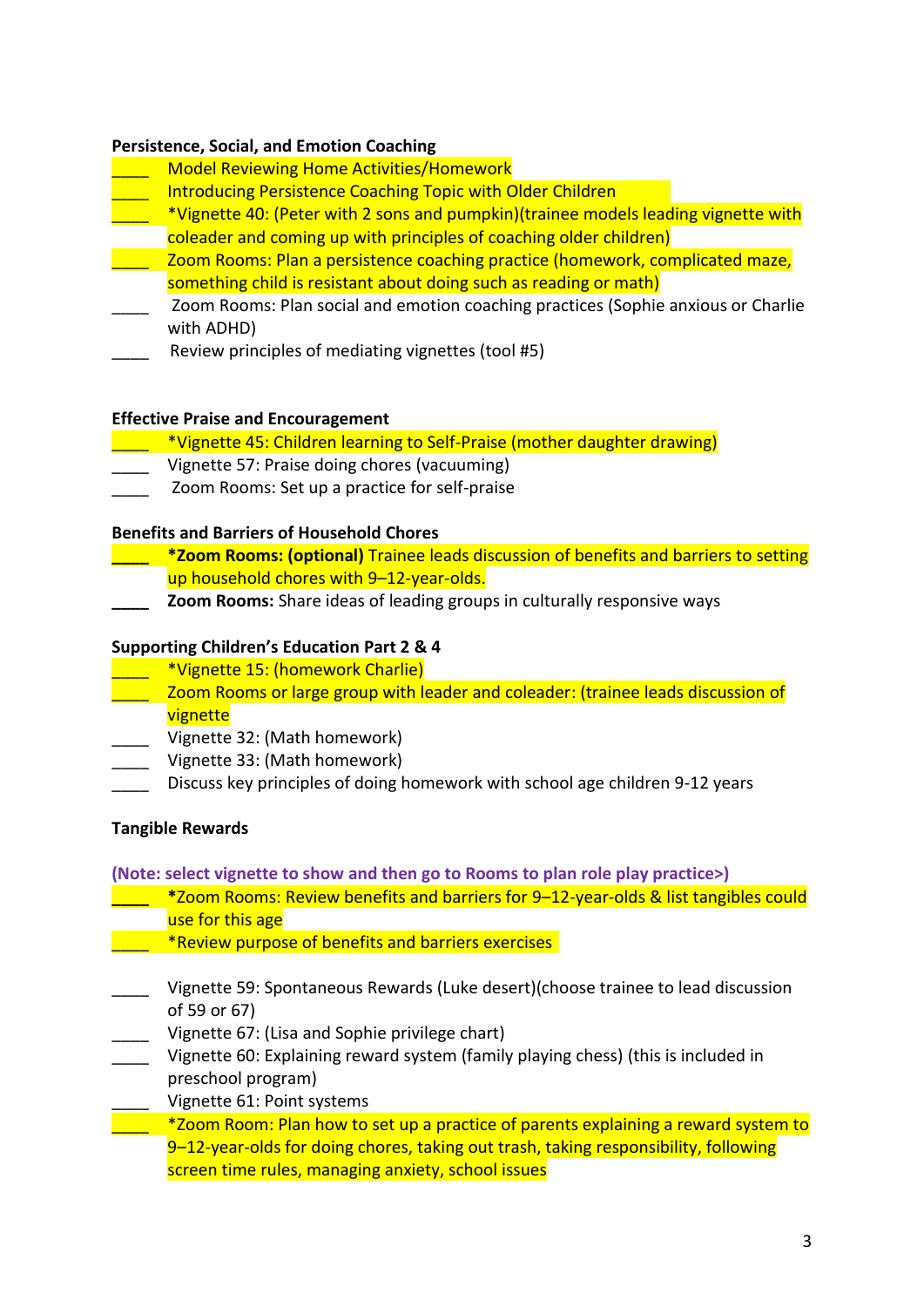#### **Persistence, Social, and Emotion Coaching**

- \_\_\_\_ Model Reviewing Home Activities/Homework
- Introducing Persistence Coaching Topic with Older Children
- \_\_\_\_ \*Vignette 40: (Peter with 2 sons and pumpkin)(trainee models leading vignette with
- coleader and coming up with principles of coaching older children)
- \_\_\_\_ Zoom Rooms: Plan a persistence coaching practice (homework, complicated maze, something child is resistant about doing such as reading or math)
- Zoom Rooms: Plan social and emotion coaching practices (Sophie anxious or Charlie with ADHD)
- Review principles of mediating vignettes (tool #5)

#### **Effective Praise and Encouragement**

- \_\_\_\_ \*Vignette 45: Children learning to Self-Praise (mother daughter drawing)
- \_\_\_\_ Vignette 57: Praise doing chores (vacuuming)
- Zoom Rooms: Set up a practice for self-praise

### **Benefits and Barriers of Household Chores**

- **\_\_\_\_ \*Zoom Rooms: (optional)** Trainee leads discussion of benefits and barriers to setting up household chores with 9-12-year-olds.
- **\_\_\_\_ Zoom Rooms:** Share ideas of leading groups in culturally responsive ways

### **Supporting Children's Education Part 2 & 4**

- \_\_\_\_ \*Vignette 15: (homework Charlie)
- \_\_\_\_ Zoom Rooms or large group with leader and coleader: (trainee leads discussion of vignette
- \_\_\_\_ Vignette 32: (Math homework)
- \_\_\_\_ Vignette 33: (Math homework)
- Discuss key principles of doing homework with school age children 9-12 years

## **Tangible Rewards**

**(Note: select vignette to show and then go to Rooms to plan role play practice>)**

- **\_\_\_\_ \***Zoom Rooms: Review benefits and barriers for 9–12-year-olds & list tangibles could use for this age
- **EXECUTE:** \*Review purpose of benefits and barriers exercises
- \_\_\_\_ Vignette 59: Spontaneous Rewards (Luke desert)(choose trainee to lead discussion of 59 or 67)
- Vignette 67: (Lisa and Sophie privilege chart)
- Vignette 60: Explaining reward system (family playing chess) (this is included in preschool program)
	- Vignette 61: Point systems
		- \_\_\_\_ \*Zoom Room: Plan how to set up a practice of parents explaining a reward system to 9–12-year-olds for doing chores, taking out trash, taking responsibility, following screen time rules, managing anxiety, school issues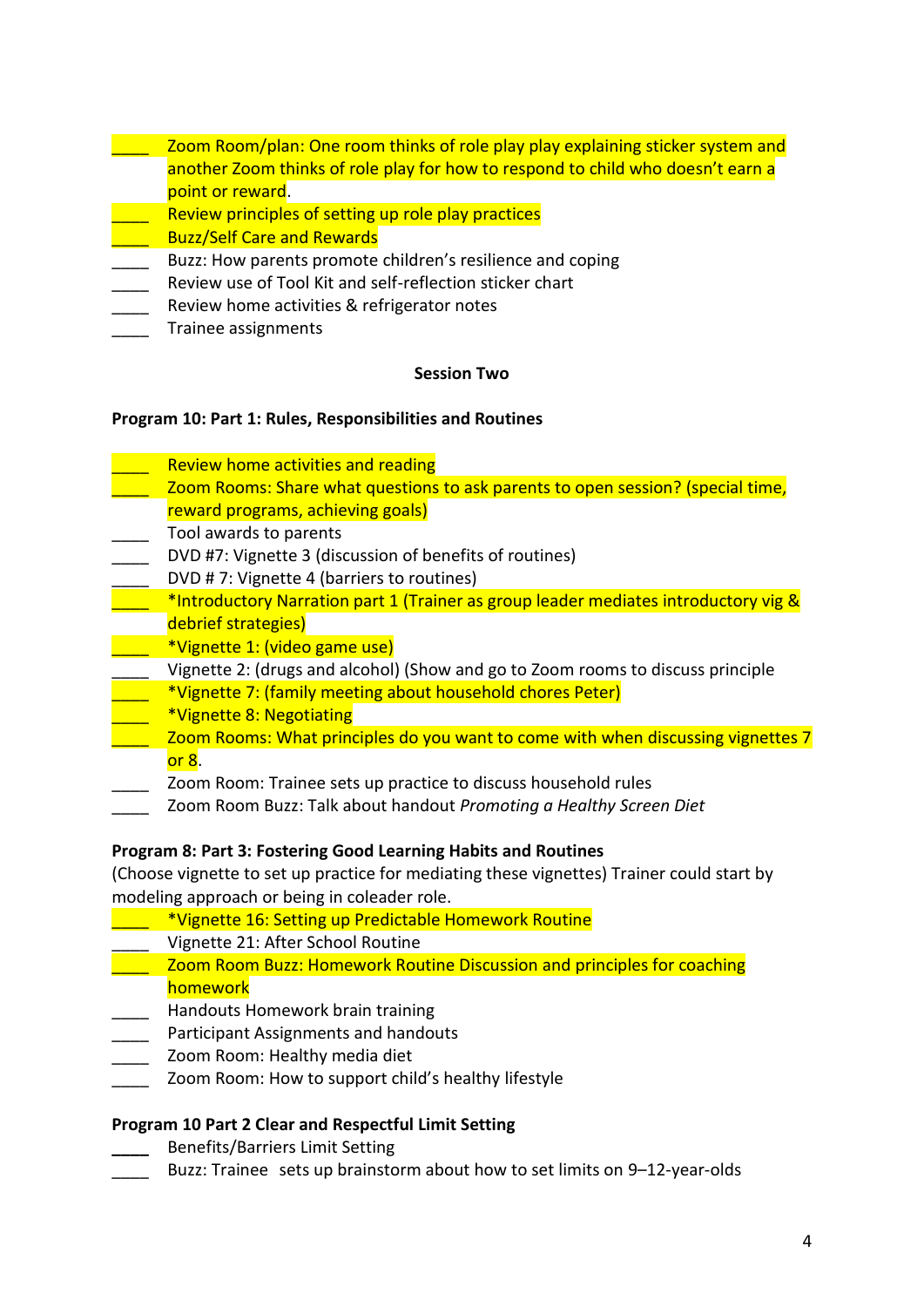- zoom Room/plan: One room thinks of role play play explaining sticker system and another Zoom thinks of role play for how to respond to child who doesn't earn a point or reward.
- Review principles of setting up role play practices
- \_\_\_\_ Buzz/Self Care and Rewards
- Buzz: How parents promote children's resilience and coping
- Review use of Tool Kit and self-reflection sticker chart
- Review home activities & refrigerator notes
- Trainee assignments

### **Session Two**

### **Program 10: Part 1: Rules, Responsibilities and Routines**

- Review home activities and reading
- \_\_\_\_ Zoom Rooms: Share what questions to ask parents to open session? (special time, reward programs, achieving goals)
- \_\_\_\_ Tool awards to parents
- DVD #7: Vignette 3 (discussion of benefits of routines)
- DVD # 7: Vignette 4 (barriers to routines)
- \*Introductory Narration part 1 (Trainer as group leader mediates introductory vig & debrief strategies)
- \_\_\_\_ \*Vignette 1: (video game use)
- Vignette 2: (drugs and alcohol) (Show and go to Zoom rooms to discuss principle
- \_\_\_\_ \*Vignette 7: (family meeting about household chores Peter)
- \_\_\_\_ \*Vignette 8: Negotiating
- Zoom Rooms: What principles do you want to come with when discussing vignettes 7 or 8.
	- \_\_\_\_ Zoom Room: Trainee sets up practice to discuss household rules
- \_\_\_\_ Zoom Room Buzz: Talk about handout *Promoting a Healthy Screen Diet*

## **Program 8: Part 3: Fostering Good Learning Habits and Routines**

(Choose vignette to set up practice for mediating these vignettes) Trainer could start by modeling approach or being in coleader role.

- \_\_\_\_ \*Vignette 16: Setting up Predictable Homework Routine
- \_\_\_\_ Vignette 21: After School Routine
- \_\_\_\_ Zoom Room Buzz: Homework Routine Discussion and principles for coaching homework
- \_\_\_\_ Handouts Homework brain training
- Participant Assignments and handouts
- Zoom Room: Healthy media diet
- Zoom Room: How to support child's healthy lifestyle

## **Program 10 Part 2 Clear and Respectful Limit Setting**

- **\_\_\_\_** Benefits/Barriers Limit Setting
- Buzz: Trainee sets up brainstorm about how to set limits on 9–12-year-olds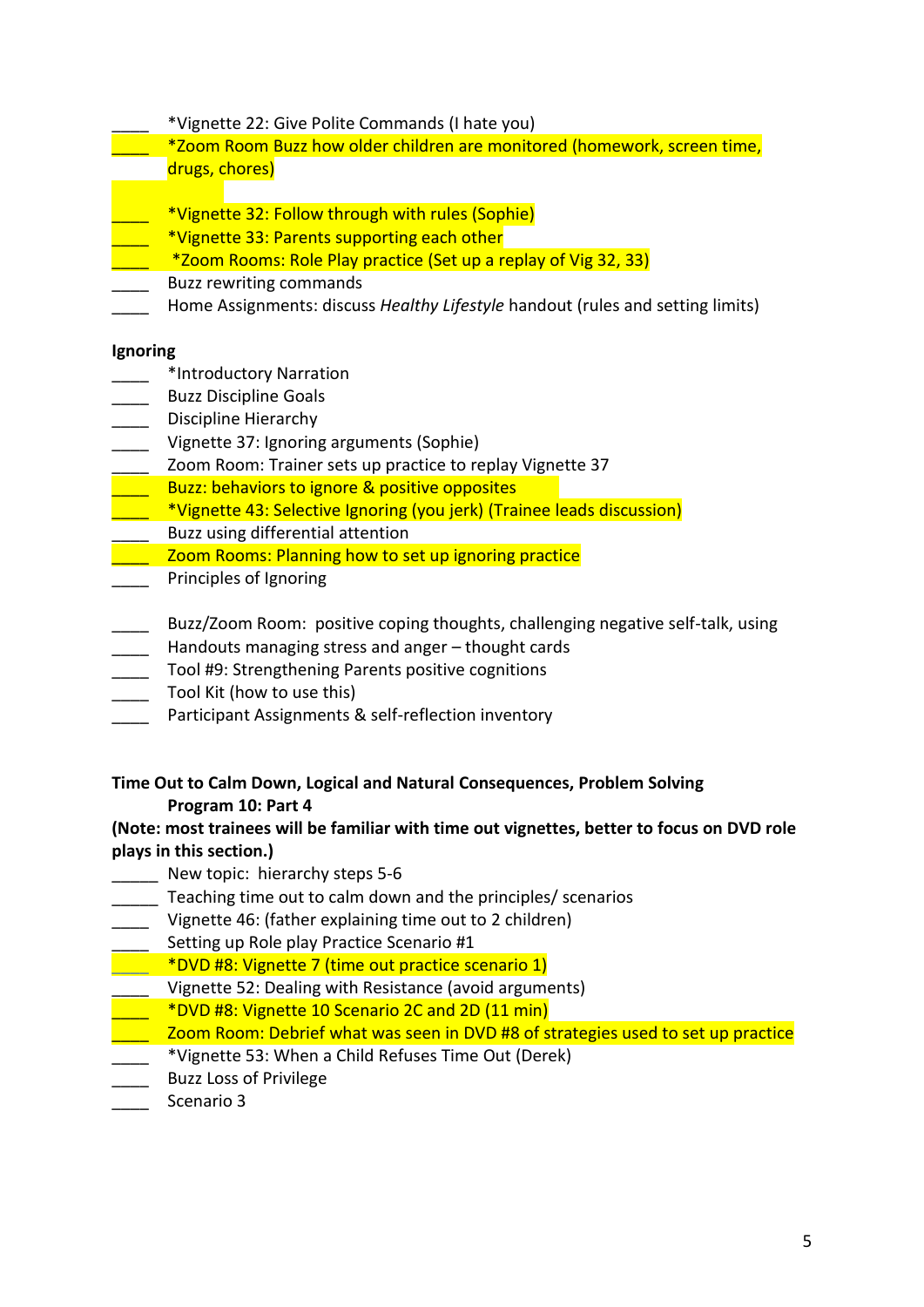- \_\_\_\_ \*Vignette 22: Give Polite Commands (I hate you)
- \_\_\_\_ \*Zoom Room Buzz how older children are monitored (homework, screen time, drugs, chores)
- \_\_\_\_ \*Vignette 32: Follow through with rules (Sophie)
- \*Vignette 33: Parents supporting each other
	- \*Zoom Rooms: Role Play practice (Set up a replay of Vig 32, 33)
- \_\_\_\_ Buzz rewriting commands
- Home Assignments: discuss *Healthy Lifestyle* handout (rules and setting limits)

#### **Ignoring**

- \_\_\_\_ \*Introductory Narration
- \_\_\_\_ Buzz Discipline Goals
- Discipline Hierarchy
- Vignette 37: Ignoring arguments (Sophie)
- \_\_\_\_ Zoom Room: Trainer sets up practice to replay Vignette 37
- Buzz: behaviors to ignore & positive opposites
- \_\_\_\_ \*Vignette 43: Selective Ignoring (you jerk) (Trainee leads discussion)
- Buzz using differential attention
- Zoom Rooms: Planning how to set up ignoring practice
- Principles of Ignoring
- Buzz/Zoom Room: positive coping thoughts, challenging negative self-talk, using
- Handouts managing stress and anger thought cards
- \_\_\_\_ Tool #9: Strengthening Parents positive cognitions
- \_\_\_\_ Tool Kit (how to use this)
- Participant Assignments & self-reflection inventory

## **Time Out to Calm Down, Logical and Natural Consequences, Problem Solving Program 10: Part 4**

## **(Note: most trainees will be familiar with time out vignettes, better to focus on DVD role plays in this section.)**

- New topic: hierarchy steps 5-6
- \_\_\_\_\_ Teaching time out to calm down and the principles/ scenarios
- \_\_\_\_ Vignette 46: (father explaining time out to 2 children)
- \_\_\_\_ Setting up Role play Practice Scenario #1
	- **Exagge 7** \*DVD #8: Vignette 7 (time out practice scenario 1)
- Vignette 52: Dealing with Resistance (avoid arguments)
- \_\_\_\_ \*DVD #8: Vignette 10 Scenario 2C and 2D (11 min)
- \_\_\_\_ Zoom Room: Debrief what was seen in DVD #8 of strategies used to set up practice
- \_\_\_\_ \*Vignette 53: When a Child Refuses Time Out (Derek)
- \_\_\_\_ Buzz Loss of Privilege
- \_\_\_\_ Scenario 3